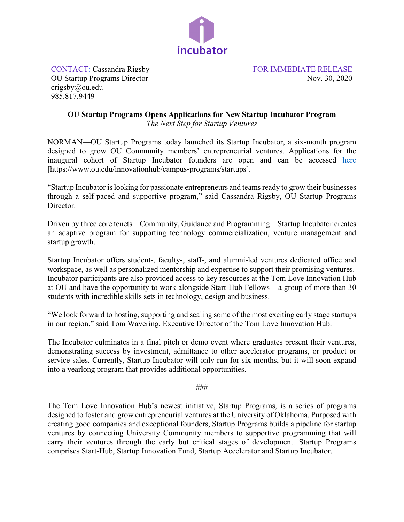

CONTACT: Cassandra Rigsby FOR IMMEDIATE RELEASE OU Startup Programs Director Nov. 30, 2020 crigsby@ou.edu 985.817.9449

## **OU Startup Programs Opens Applications for New Startup Incubator Program**

*The Next Step for Startup Ventures* 

NORMAN—OU Startup Programs today launched its Startup Incubator, a six-month program designed to grow OU Community members' entrepreneurial ventures. Applications for the inaugural cohort of Startup Incubator founders are open and can be accessed [here](https://www.ou.edu/innovationhub/campus-programs/startups) [https://www.ou.edu/innovationhub/campus-programs/startups].

"Startup Incubator is looking for passionate entrepreneurs and teams ready to grow their businesses through a self-paced and supportive program," said Cassandra Rigsby, OU Startup Programs Director.

Driven by three core tenets – Community, Guidance and Programming – Startup Incubator creates an adaptive program for supporting technology commercialization, venture management and startup growth.

Startup Incubator offers student-, faculty-, staff-, and alumni-led ventures dedicated office and workspace, as well as personalized mentorship and expertise to support their promising ventures. Incubator participants are also provided access to key resources at the Tom Love Innovation Hub at OU and have the opportunity to work alongside Start-Hub Fellows – a group of more than 30 students with incredible skills sets in technology, design and business.

"We look forward to hosting, supporting and scaling some of the most exciting early stage startups in our region," said Tom Wavering, Executive Director of the Tom Love Innovation Hub.

The Incubator culminates in a final pitch or demo event where graduates present their ventures, demonstrating success by investment, admittance to other accelerator programs, or product or service sales. Currently, Startup Incubator will only run for six months, but it will soon expand into a yearlong program that provides additional opportunities.

###

The Tom Love Innovation Hub's newest initiative, Startup Programs, is a series of programs designed to foster and grow entrepreneurial ventures at the University of Oklahoma. Purposed with creating good companies and exceptional founders, Startup Programs builds a pipeline for startup ventures by connecting University Community members to supportive programming that will carry their ventures through the early but critical stages of development. Startup Programs comprises Start-Hub, Startup Innovation Fund, Startup Accelerator and Startup Incubator.